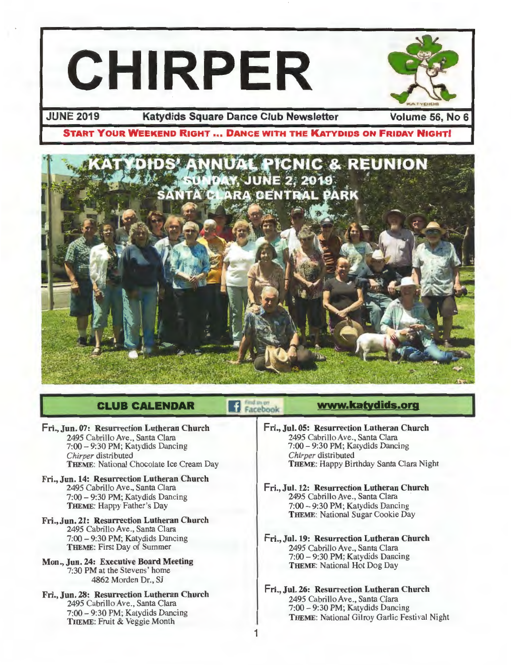



### **JUNE 2019 Katydids Square Dance Club Newsletter Volume** 56, **No 6**

## **START YOUR WEEKEND RIGHT ... DANCE WITH THE KATYDIDS ON FRIDAY NIGHT!**



Facebook

1

## **CLUB CALENDAR**

#### Fri., Jun. 07: Resurrection Lutheran Church 2495 Cabrillo Ave., Santa Clara 7:00 - 9:30 PM; Katydids Dancing *Chirper* distributed THEME: National Chocolate Ice Cream Day

- Fri., Jun. 14: Resurrection Lutheran Church 2495 Cabrillo Ave., Santa Clara 7:00 - 9:30 PM; Katydids Dancing THEME: Happy Father's Day
- Fri., Jun. 21: Resurrection Lutheran Church 2495 Cabrillo Ave., Santa Clara 7:00 - 9:30 PM; Katydids Dancing THEME: First Day of Summer
- Mon., Jun. 24: Executive Board Meeting 7:30 PM at the Stevens' home 4862 Morden Dr., SJ
- Fri., Jun. 28: Resurrection Lutheran Church 2495 Cabrillo Ave., Santa Clara 7:00 - 9:30 PM; Katydids Dancing THEME: Fruit & Veggie Month

## **www.katydids.org**

- Fri., Jul. 05: Resurrection Lutheran Church 2495 Cabrillo Ave., Santa Clara 7:00 - 9:30 PM; Katydids Dancing *Chirper* distributed THEME: Happy Birthday Santa Clara Night
- Fri., Jul. 12: Resurrection Lutheran Church 2495 Cabrillo Ave., Santa Clara 7:00 - 9:30 PM; Katydids Dancing THEME: National Sugar Cookie Day
- Fri., Jul. 19: Resurrection Lutheran Church 2495 Cabrillo Ave., Santa Clara 7:00 - 9:30 PM; Katydids Dancing THEME: National Hot Dog Day
- Fri., Jul. 26: Resurrection Lutheran Church 2495 Cabrillo Ave., Santa Clara 7:00 - 9:30 PM; Katydids Dancing THEME: National Gilroy Garlic Festival Night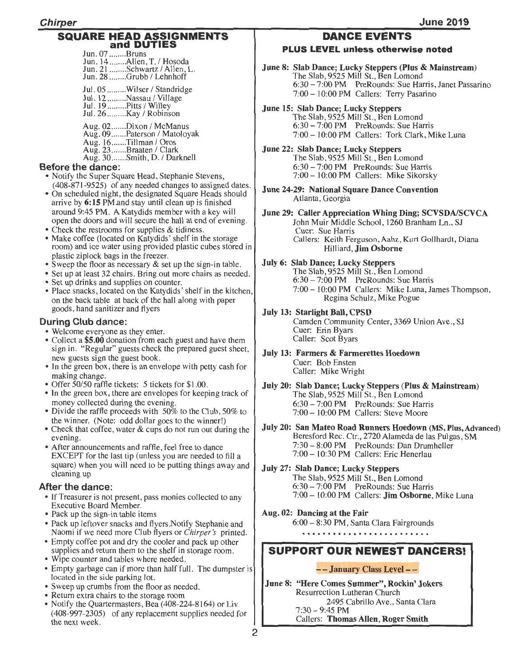#### SQUARE HEAD ASSIGNMENTS and DUTIES

Jun. 07 ........ Bruns Jun. 14 ........Allen, T. / Hosoda Jun. 21 ........Schwartz / Allen, L.<br>Jun. 28 ........Grubb / Lehnhoff Jul. 05 ........Wilser / Standridge Jul. 12 .........Nassau / Village Jul. 19 ..........Pitts / Willey Jul. 26 ......... Kay I Robinson

Aug. 02 ....... Dixon / McManus<br>Aug. 09 ....... Paterson / Matoloyak Aug. 16 .......Tillman / Oros Aug. 23 .......Braaten / Clark Aug. 30.......Smith, D. / Darknell

#### Before the dance:

- Notify the Super Square Head, Stephanie Stevens, (408-871-9525) of any needed changes to assigned dates.
- On scheduled night, the designated Square Heads should arrive by 6:15 PM.and stay until clean up is finished around 9:45 PM. A Katydids member with a key will open the doors and will secure the hall at end of evening.
- Check the restrooms for supplies & tidiness.
- Make coffee (located on Katydids' shelf in the storage room) and ice water using provided plastic cubes stored in plastic ziplock bags in the freezer.
- Sweep the floor as necessary & set up the sign-in table.
- Set up at least 32 chairs. Bring out more chairs as needed.
- Set up drinks and supplies on counter.
- Place snacks, located on the Katydids' shelf in the kitchen, on the back table at back of the hall along with paper goods, hand sanitizer and flyers

### During Club dance:

- Welcome everyone as they enter.
- Collect a \$5.00 donation from each guest and have them sign in . "Regular" guests check the prepared guest sheet, new guests sign the guest book.
- In the green box, there is an envelope with petty cash for making change.
- Offer 50/50 raffle tickets: 5 tickets for \$1.00.
- In the green box, there are envelopes for keeping track of money collected during the evening.
- Divide the raffle proceeds with 50% to the Club, 50% to the winner. (Note: odd dollar goes to the winner!)
- Check that coffee, water & cups do not run out during the evening.
- After announcements and raffle, feel free to dance EXCEPT for the last tip (unless you are needed to fill a square) when you will need to be putting things away and cleaning up

### After the dance:

- If Treasurer is not present, pass monies collected to any Executive Board Member.
- Pack up the sign-in table items
- Pack up leftover snacks and flyers.Notify Stephanie and Naomi if we need more Club flyers or *Chirper's* printed.
- Empty coffee pot and dry the cooler and pack up other supplies and return them to the shelf in storage room.
- Wipe counter and tables where needed.
- Empty garbage can if more than half full. The dumpster is located in the side parking lot.
- Sweep up crumbs from the floor as needed.
- Return extra chairs to the storage room
- Notify the Quartermasters, Bea (408-224-8164) or Liv (408-997-2305) of any replacement supplies needed for the next week.

## DANCE EVENTS

#### PLUS LEVEL unless otherwise noted

June 8: Slab Dance; Lucky Steppers (Plus & Mainstream) The Slab, 9525 Mill St., Ben Lomond 6:30 - 7:00 PM PreRounds: Sue Harris, Janet Passarino 7:00 - 10:00 PM Callers: Terry Pasarino

June 15: Slab Dance; Lucky Steppers

The Slab, 9525 Mill St., Ben Lomond 6:30 - 7:00 PM PreRounds: Sue Harris 7:00 - 10:00 PM Callers: Tork Clark, Mike Luna

- June 22: Slab Dance; Lucky Steppers The Slab, 9525 Mill St., Ben Lomond 6:30 - 7:00 PM PreRounds: Sue Harris 7:00 - 10:00 PM Callers: Mike Sikorsky
- June 24-29: National Square Dance Convention Atlanta, Georgia
- June 29: Caller Appreciation Whing Ding; SCVSDA/SCVCA John Muir Middle School, 1260 Branham Ln., SJ Cuer: Sue Harris Callers: *Keith* Ferguson,Aahz, Kurt Gollhardt, Diana Hilliard, Jim Osborne
- July 6: Slab Dance; Lucky Steppers The Slab, 9525 Mill St., Ben Lomond 6:30 - 7:00 PM PreRounds: Sue Harris 7:00- 10:00 PM Callers: Mike Luna, James Thompson, Regina Schulz, Mike Pogue
- July 13: Starlight Ball, CPSD

Camden Community Center, 3369 Union Ave., SJ Cuer: Erin Byars Caller: Scot Byars

- July 13: Farmers & Farmerettes Hoedown Cuer: Bob Ensten Caller: Mike Wright
- July 20: Slab Dance; Lucky Steppers (Plus & Mainstream) The Slab, 9525 Mill St., Ben Lomond 6:30 - 7:00 PM PreRounds: Sue Harris 7:00 - 10:00 PM Callers: Steve Moore
- July 20: San Mateo Road Runners Hoedown (MS, Plus, Advanced) Beresford Rec. Ctr., 2720 Alameda de las Pulgas, SM 7:30 - 8:00 PM PreRounds: Dan Drumheller 7:00 - 10:30 PM Callers: Eric Henerlau
- July 27: Slab Dance; Lucky Steppers The Slab, 9525 Mill St., Ben Lomond 6:30 - 7:00 PM PreRounds: Sue Harris 7:00 - 10:00 PM Callers: Jim Osborne, Mike Luna
- Aug. 02: Dancing at the Fair 6:00 - 8:30 PM, Santa Clara Fairgrounds

## SUPPORT OUR NEWEST DANCERS!

### - - January Class Level - -

June 8: "Here Comes Summer'', Rockin' Jokers Resurrection Lutheran Church 2495 Cabrillo Ave., Santa Clara  $7:30 - 9:45$  PM Callers: Thomas Allen, Roger Smith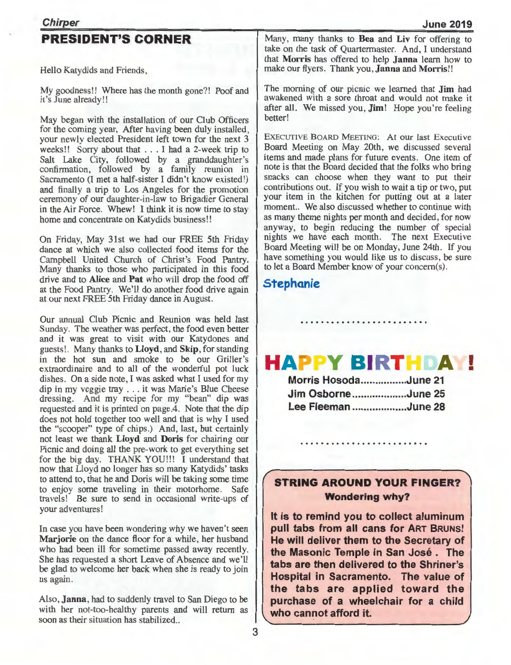## **PRESIDENT'S CORNER**

Hello Katydids and Friends,

My goodness!! Where has the month gone?! Poof and it's June already!!

May began with the installation of our Club Officers for the coming year, After having been duly installed, your newly elected President left town for the next 3 weeks!! Sorry about that . .. I had a 2-week trip to Salt Lake City, followed by a granddaughter's confirmation, followed by a family reunion in Sacramento (I met a half-sister I didn't know existed!) and finally a trip to Los Angeles for the promotion ceremony of our daughter-in-law to Brigadier General in the Air Force. Whew! I think it is now time to stay home and concentrate on Katydids business!!

On Friday, May 31st we had our FREE 5th Friday dance at which we also collected food items for the Campbell United Church of Christ's Food Pantry. Many thanks to those who participated in this food drive and to **Alice and Pat** who will drop the food off at the Food Pantry. We'll do another food drive again at our next FREE 5th Friday dance in August.

Our annual Club Picnic and Reunion was held last Sunday. The weather was perfect, the food even better and it was great to visit with our Katydones and guests!. Many thanks to **Lloyd, and Skip,** for standing in the hot sun and smoke to be our Griller's extraordinaire and to all of the wonderful pot luck dishes. On a side note, I was asked what I used for my dip in my veggie tray ... it was Marie's Blue Cheese dressing. And my recipe for my "bean" dip was requested and it is printed on page.4. Note that the dip does not hold together too well and that is why I used the "scooper" type of chips.) And, last, but certainly not least we thank **Lloyd and Doris** for chairing our Picnic and doing all the pre-work to get everything set for the big day. THANK YOU!!! I understand that now that Lloyd no longer has so many Katydids' tasks to attend to, that he and Doris will be taking some time to enjoy some traveling in their motorhome. Safe travels! Be sure to send in occasional write-ups of your adventures!

In case you have been wondering why we haven't seen **Marjorie** on the dance floor for a while, her husband who had been ill for sometime passed away recently. She has requested a short Leave of Absence and we'll be glad to welcome her back when she is ready to join us again.

Also, **Janna,** had to suddenly travel to San Diego to be with her not-too-healthy parents and will return as soon as their situation has stabilized ..

**June 2019** 

Many, many thanks to **Bea and Liv** for offering to take on the task of Quartermaster. And, I understand that **Morris** has offered to help **Janna** learn how to make our flyers. Thank you, **Janna** and **Morris!!** 

The morning of our picnic we learned that **Jim** had awakened with a sore throat and would not make it after all. We missed you, **Jim!** Hope you're feeling better!

EXECUTIVE BOARD MEETING: At our last Executive Board Meeting on May 20th, we discussed several items and made plans for future events. One item of note is that the Board decided that the folks who bring snacks can choose when they want to put their contributions out. If you wish to wait a tip or two, put your item in the kitchen for putting out at a later moment.. We also discussed whether to continue with as many theme nights per month and decided, for now anyway, to begin reducing the number of special nights we have each month. The next Executive Board Meeting will be on Monday, June 24th. If you have something you would like us to discuss, be sure to let a Board Member know of your concern(s).

## **Stephanie**

#### **HAPPY BIRTHDAY!** •

| Morris HosodaJune 21 |  |
|----------------------|--|
| Jim OsborneJune 25   |  |
| Lee FleemanJune 28   |  |

## **STRING AROUND YOUR FINGER? Wondering why?**

**It is to remind you to collect aluminum pull tabs from all cans for ART BRUNS! He will deliver them to the Secretary of the Masonic Temple in San Jose . The tabs are then delivered to the Shriner's Hospital in Sacramento. The value of the tabs are applied toward the purchase of a wheelchair for a child who cannot afford it.**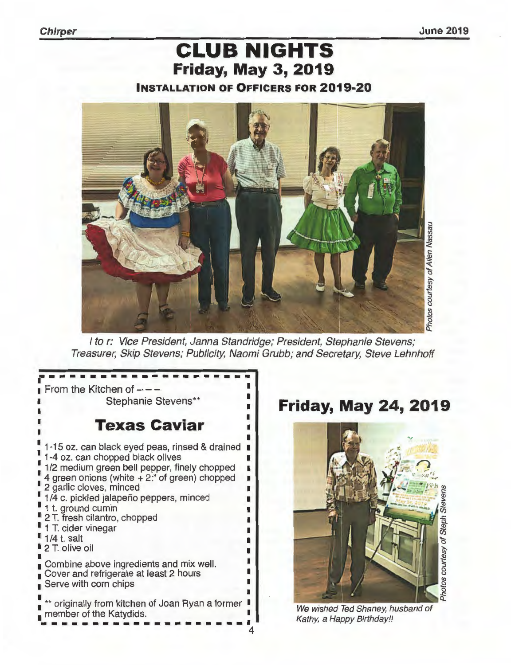**Chirper June 2019** 

# **CLUB NIGHTS Friday, May 3, 2019 INSTALLATION OF OFFICERS FOR 2019-20**



I to r: Vice President, Janna Standridge; President, Stephanie Stevens; Treasurer, Skip Stevens; Publicity, Naomi Grubb; and Secretary, Steve Lehnhoff

From the Kitchen of  $---$ **Texas Caviar**  1-15 oz. can black eyed peas, rinsed & drained 1-4 oz. can chopped black olives 1/2 medium green bell pepper, finely chopped 4 green onions (white + 2:" of green) chopped 2 garlic cloves, minced 1/4 c. pickled jalapeño peppers, minced 1 t. ground cumin 2 T. fresh cilantro, chopped 1 T. cider vinegar 1/4 t. salt 2 T. olive oil Combine above ingredients and mix well. Cover and refrigerate at least 2 hours Serve with corn chips \*\* originally from kitchen of Joan Ryan a former  $\blacksquare$ member of the Katydids.

# Stephanie Stevens\*\* **Friday, May 24, 2019**



We wished Ted Shaney, husband of Kathy, a Happy Birthday!!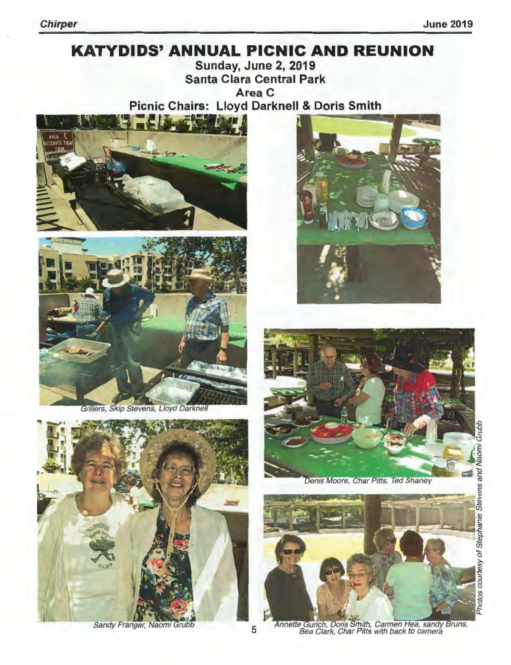# **KATYDIDS' ANNUAL PICNIC AND REUNION Sunday, June 2, 2019**

**Santa Clara Central Park** Area C **Picnic Chairs: Lloyd Darknell & Doris Smith** 





Grillers, Skip Stevens, Lloyd Darknell



Sandy Franger, Naomi Grubb





Denis Moore, Char Pitts, Ted Shaney



Annette Gurich, Doris Smith, Carmen Hea, sandy Bruns,<br>Bea Clark, Char Pitts with back to camera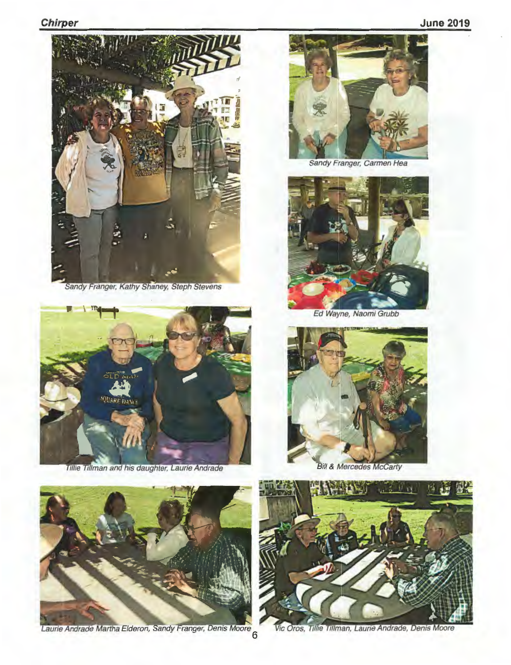

Sandy Franger, Kathy Shaney, Steph Stevens



Tillie Tillman and his daughter, Laurie Andrade



Sandy Franger, Carmen Hea



Ed Wayne, Naomi Grubb



**Bill & Mercedes McCarty** 





Vic Oros, Tillie Tillman, Laurie Andrade, Denis Moore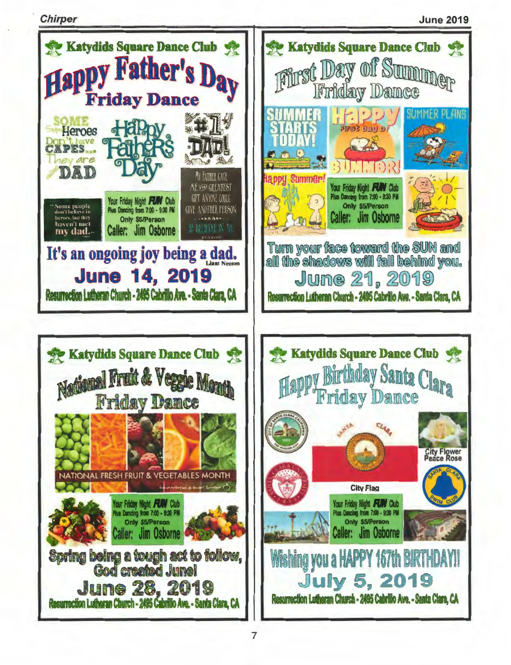**Chirper** 

**June 2019**